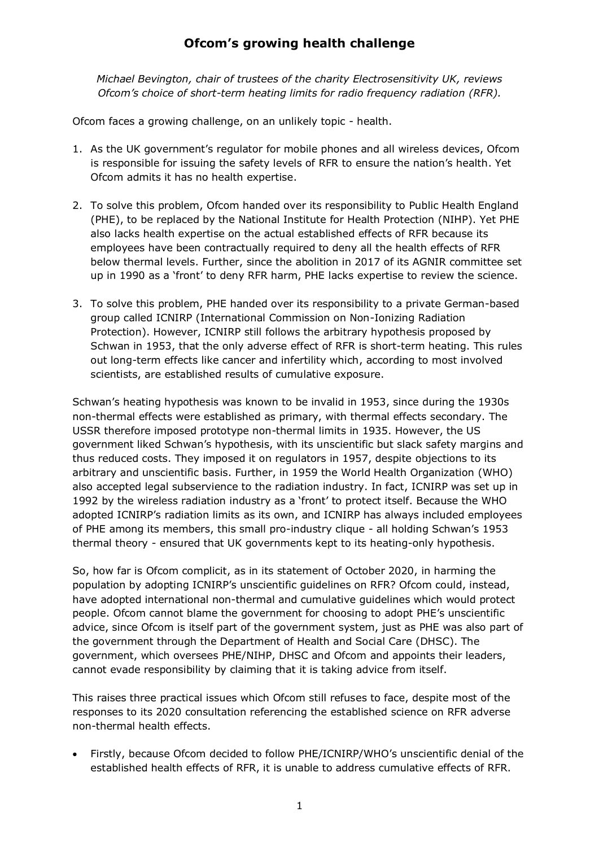## **Ofcom's growing health challenge**

*Michael Bevington, chair of trustees of the charity Electrosensitivity UK, reviews Ofcom's choice of short-term heating limits for radio frequency radiation (RFR).*

Ofcom faces a growing challenge, on an unlikely topic - health.

- 1. As the UK government's regulator for mobile phones and all wireless devices, Ofcom is responsible for issuing the safety levels of RFR to ensure the nation's health. Yet Ofcom admits it has no health expertise.
- 2. To solve this problem, Ofcom handed over its responsibility to Public Health England (PHE), to be replaced by the National Institute for Health Protection (NIHP). Yet PHE also lacks health expertise on the actual established effects of RFR because its employees have been contractually required to deny all the health effects of RFR below thermal levels. Further, since the abolition in 2017 of its AGNIR committee set up in 1990 as a 'front' to deny RFR harm, PHE lacks expertise to review the science.
- 3. To solve this problem, PHE handed over its responsibility to a private German-based group called ICNIRP (International Commission on Non-Ionizing Radiation Protection). However, ICNIRP still follows the arbitrary hypothesis proposed by Schwan in 1953, that the only adverse effect of RFR is short-term heating. This rules out long-term effects like cancer and infertility which, according to most involved scientists, are established results of cumulative exposure.

Schwan's heating hypothesis was known to be invalid in 1953, since during the 1930s non-thermal effects were established as primary, with thermal effects secondary. The USSR therefore imposed prototype non-thermal limits in 1935. However, the US government liked Schwan's hypothesis, with its unscientific but slack safety margins and thus reduced costs. They imposed it on regulators in 1957, despite objections to its arbitrary and unscientific basis. Further, in 1959 the World Health Organization (WHO) also accepted legal subservience to the radiation industry. In fact, ICNIRP was set up in 1992 by the wireless radiation industry as a 'front' to protect itself. Because the WHO adopted ICNIRP's radiation limits as its own, and ICNIRP has always included employees of PHE among its members, this small pro-industry clique - all holding Schwan's 1953 thermal theory - ensured that UK governments kept to its heating-only hypothesis.

So, how far is Ofcom complicit, as in its statement of October 2020, in harming the population by adopting ICNIRP's unscientific guidelines on RFR? Ofcom could, instead, have adopted international non-thermal and cumulative guidelines which would protect people. Ofcom cannot blame the government for choosing to adopt PHE's unscientific advice, since Ofcom is itself part of the government system, just as PHE was also part of the government through the Department of Health and Social Care (DHSC). The government, which oversees PHE/NIHP, DHSC and Ofcom and appoints their leaders, cannot evade responsibility by claiming that it is taking advice from itself.

This raises three practical issues which Ofcom still refuses to face, despite most of the responses to its 2020 consultation referencing the established science on RFR adverse non-thermal health effects.

• Firstly, because Ofcom decided to follow PHE/ICNIRP/WHO's unscientific denial of the established health effects of RFR, it is unable to address cumulative effects of RFR.